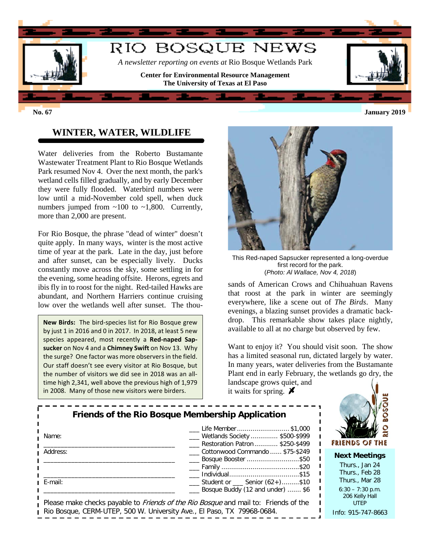

## **WINTER, WATER, WILDLIFE**

Water deliveries from the Roberto Bustamante Wastewater Treatment Plant to Rio Bosque Wetlands Park resumed Nov 4. Over the next month, the park's wetland cells filled gradually, and by early December they were fully flooded. Waterbird numbers were low until a mid-November cold spell, when duck numbers jumped from  $\sim$ 100 to  $\sim$ 1,800. Currently, more than 2,000 are present.

For Rio Bosque, the phrase "dead of winter" doesn't quite apply. In many ways, winter is the most active time of year at the park. Late in the day, just before and after sunset, can be especially lively. Ducks constantly move across the sky, some settling in for the evening, some heading offsite. Herons, egrets and ibis fly in to roost for the night. Red-tailed Hawks are abundant, and Northern Harriers continue cruising low over the wetlands well after sunset. The thou-

**New Birds:** The bird-species list for Rio Bosque grew by just 1 in 2016 and 0 in 2017. In 2018, at least 5 new species appeared, most recently a **Red-naped Sapsucker** on Nov 4 and a **Chimney Swift** on Nov 13. Why the surge? One factor was more observers in the field. Our staff doesn't see every visitor at Rio Bosque, but the number of visitors we did see in 2018 was an alltime high 2,341, well above the previous high of 1,979 in 2008. Many of those new visitors were birders.



This Red-naped Sapsucker represented a long-overdue first record for the park. (*Photo: Al Wallace, Nov 4, 2018*)

sands of American Crows and Chihuahuan Ravens that roost at the park in winter are seemingly everywhere, like a scene out of *The Birds*. Many evenings, a blazing sunset provides a dramatic backdrop. This remarkable show takes place nightly, available to all at no charge but observed by few.

Want to enjoy it? You should visit soon. The show has a limited seasonal run, dictated largely by water. In many years, water deliveries from the Bustamante Plant end in early February, the wetlands go dry, the landscape grows quiet, and

it waits for spring.  $\blacktriangleright$ 

|                                                                        | Friends of the Rio Bosque Membership Application                                            |                             |
|------------------------------------------------------------------------|---------------------------------------------------------------------------------------------|-----------------------------|
| Name:                                                                  | Life Member \$1,000<br>Wetlands Society  \$500-\$999<br>_ Restoration Patron  \$250-\$499   | FRIEI                       |
| Address:                                                               | Cottonwood Commando  \$75-\$249<br>__ Bosque Booster \$50                                   | <b>Nex</b><br>Th<br>Th      |
| E-mail:                                                                | $\frac{1}{1}$ Student or $\frac{1}{1}$ Senior (62+)\$10<br>Bosque Buddy (12 and under)  \$6 | Th<br>6:3<br>$\overline{2}$ |
| Rio Bosque, CERM-UTEP, 500 W. University Ave., El Paso, TX 79968-0684. | Please make checks payable to <i>Friends of the Rio Bosque</i> and mail to: Friends of the  | Info:                       |



#### **Next Meetings**

urs., Jan 24 urs., Feb 28 urs., Mar 28  $60 - 7:30$  p.m. 06 Kelly Hall UTEP 915-747-8663